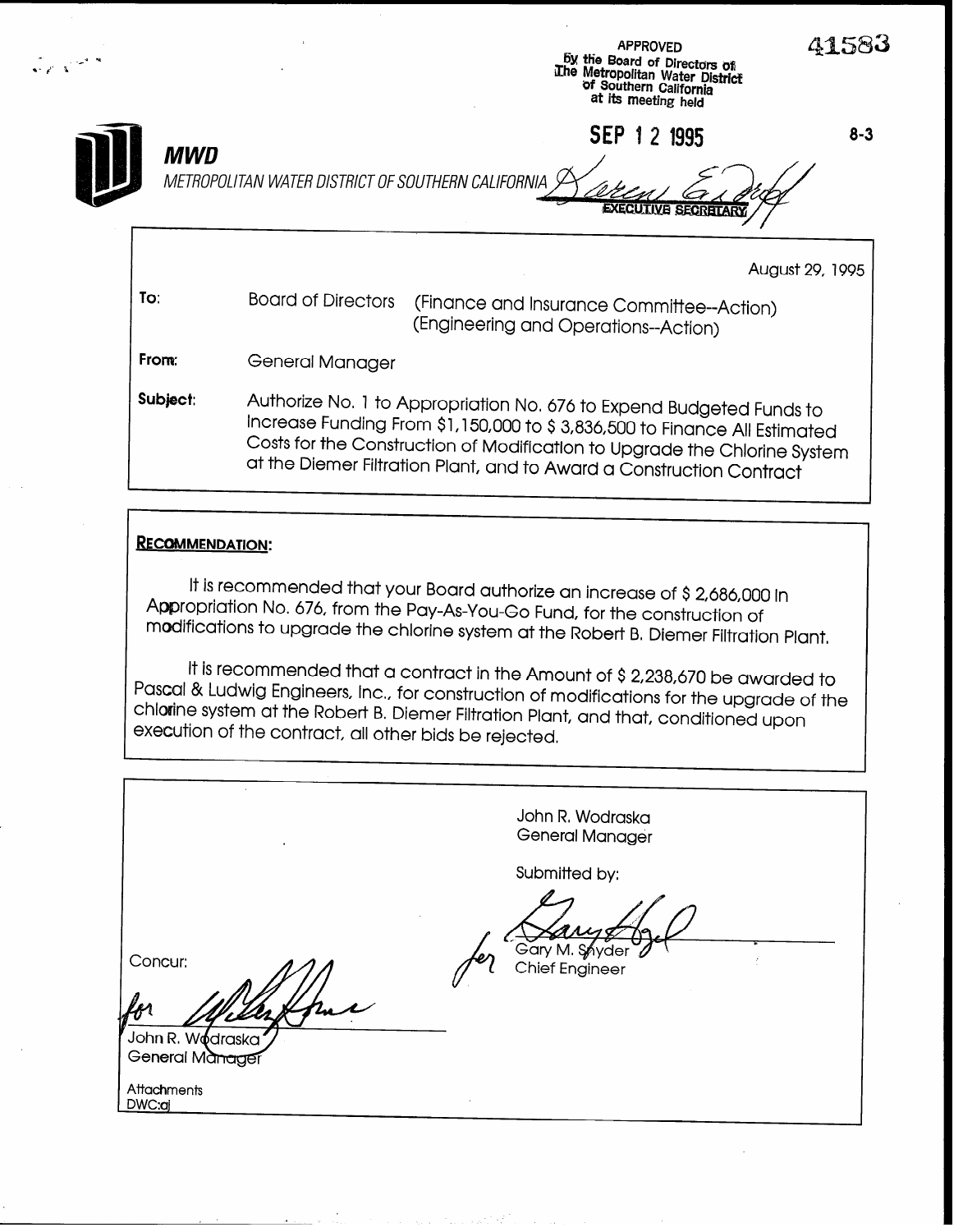|          | <b>APPROVED</b><br>by the Board of Directors of<br>The Metropolitan Water District<br>of Southern California<br>at its meeting held                                                                                                                                                                    |  |
|----------|--------------------------------------------------------------------------------------------------------------------------------------------------------------------------------------------------------------------------------------------------------------------------------------------------------|--|
| MWD      | SEP 1 2 1995<br>$8 - 3$<br>METROPOLITAN WATER DISTRICT OF SOUTHERN CALIFORNIA<br><b>EXECUTIVE SECRETAR</b>                                                                                                                                                                                             |  |
|          | August 29, 1995                                                                                                                                                                                                                                                                                        |  |
| To:      | <b>Board of Directors</b><br>(Finance and Insurance Committee--Action)<br>(Engineering and Operations--Action)                                                                                                                                                                                         |  |
| From:    | General Manager                                                                                                                                                                                                                                                                                        |  |
| Subject: | Authorize No. 1 to Appropriation No. 676 to Expend Budgeted Funds to<br>Increase Funding From \$1,150,000 to \$3,836,500 to Finance All Estimated<br>Costs for the Construction of Modification to Upgrade the Chlorine System<br>at the Diemer Filtration Plant, and to Award a Construction Contract |  |

#### RECOMMENDATION:

a-&' 1

It is recommended that your Board authorize an increase of \$2,686,000 in Appropriation No, 676, from the Pay-As-You-Go Fund, for the construction of modifications to upgrade the chlorine system at the Robert B, Diemer Filtration Plant,

It is recommended that a contract in the Amount of \$2,238,670 be awarded to Pascal & Ludwig Engineers, Inc., for construction of modifications for the upgrade of the chlwine system at the Robert B, Diemer Filtration Plant, and that, conditioned upon execution of the contract, all other bids be rejected.

| $\bullet$                                      | John R. Wodraska<br><b>General Manager</b>        |
|------------------------------------------------|---------------------------------------------------|
| Concur:<br>John R. Wodraska<br>General Manager | Submitted by:<br>Gary M. Snyder<br>Chief Engineer |
| Attachments<br>DWC:aj                          |                                                   |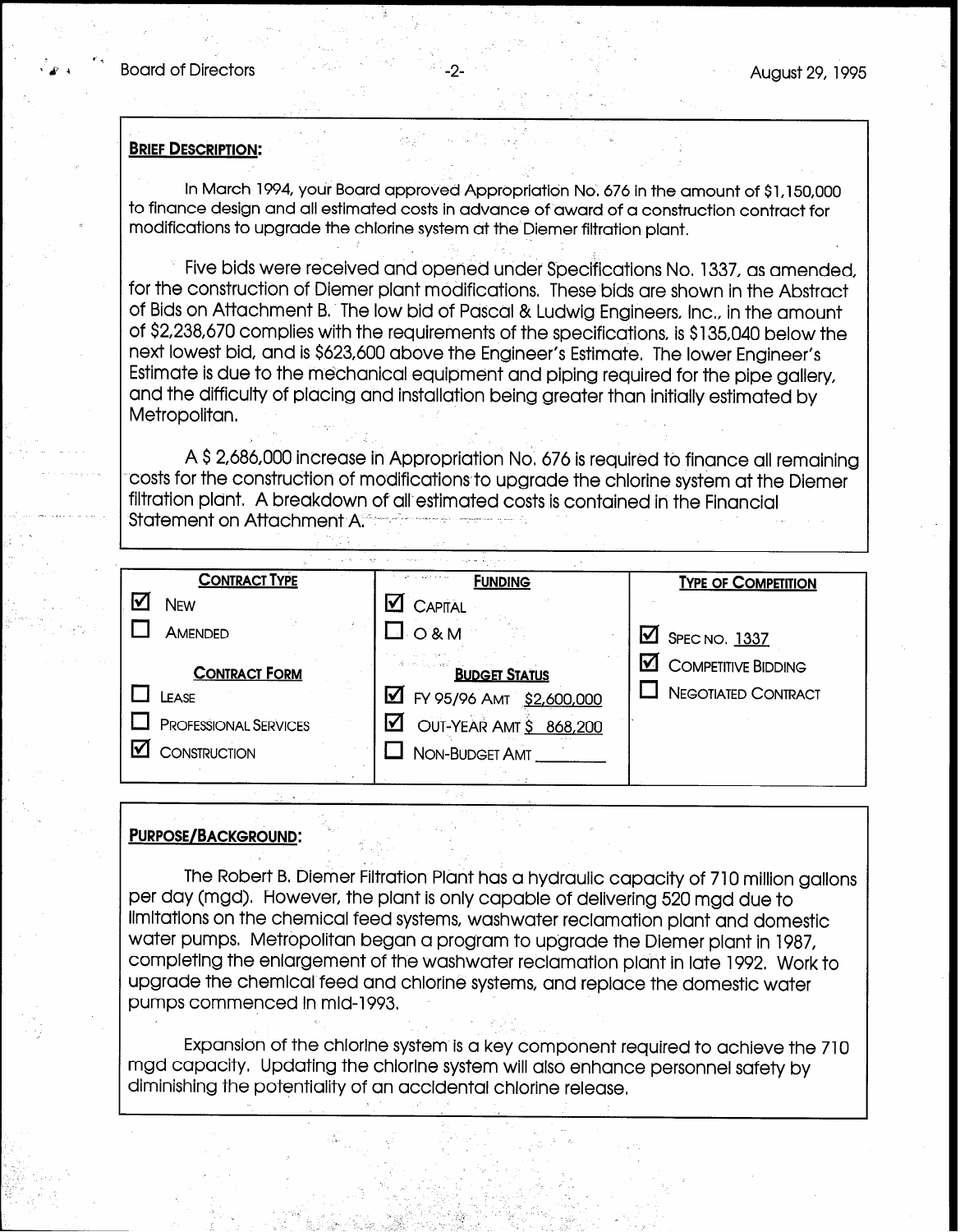#### **BRIEF DESCRIPTION:**

In March 1994, your Board approved Appropriation No. 676 in the amount of \$1,150,000 to finance design and all estimated costs in advance of award of a construction contract for modifications to upgrade the chlorine system at the Diemer filtration plant,

.--

Five bids were received and opened under Specifications No, 1337, as amended, for the construction of Diemer plant modifications, These bids are shown in the Abstract of Bids on Attachment B.. The low bid of Pascal & Ludwig Engineers, Inc, in the amount of \$2,238,670 complies with the requirements of the specifications, is \$135,040 below the next lowest bid, and is \$623,600 above the Engineer's Estimate, The lower Engineer's Estimate is due to the mechanical equipment and piping required for the pipe gallery, and the difficulty of placing and installation being greater than initially estimated by Metropolitan,

A \$ 2,686,OOO increase in Appropriation No, 676 is required to finance all remaining costs for the construction of modifications to upgrade the chlorine system at the Diemer filtration plant. A breakdown of all estimated costs is contained in the Financial Statement on Attachment A<sup>®</sup> .

| <b>CONTRACT TYPE</b>         | and a search and any<br><b>FUNDING</b>             | <b>TYPE OF COMPETITION</b>        |
|------------------------------|----------------------------------------------------|-----------------------------------|
| New                          | М<br>CAPITAL                                       |                                   |
| AMENDED                      | $\Box$ O & M                                       | M<br>SPEC NO. 1337                |
| <b>CONTRACT FORM</b>         | de ministro de la espacial<br><b>BUDGET STATUS</b> | <b>COMPETITIVE BIDDING</b><br>lV. |
| LEASE                        | <b>M</b> FY 95/96 AMT \$2,600,000                  | <b>NEGOTIATED CONTRACT</b>        |
| <b>PROFESSIONAL SERVICES</b> | OUT-YEAR AMT \$ 868,200<br>⋈                       |                                   |
| CONSTRUCTION                 | NON-BUDGET AMT                                     |                                   |
|                              |                                                    |                                   |

#### PURPOSE/BACKGROUND:

The Robert B, Diemer Filtration Plant has a hydraulic capacity of 710 million gallons per day (mgd). However, the plant is only capable of delivering 520 mgd due to limitations on the chemical feed systems, washwater reclamation plant and domestic water pumps. Metropolitan began a program to upgrade the Diemer plant in 1987, completing the enlargement of the washwater reclamation plant in late 1992, Work to upgrade the chemical feed and chlorine systems, and replace the domestic water pumps commenced in mid-1993,

Expansion of the chlorine system is a key component required to achieve the 710 mgd capacity, Updating the chlorine system will also enhance personnel safety by diminishing the potentiality of an accidental chlorine release,

> 역 : LBC 10 Little - Begalt 10 10 Hitle L -': \_. I. '1 ,

 $\ddot{\phantom{0}}$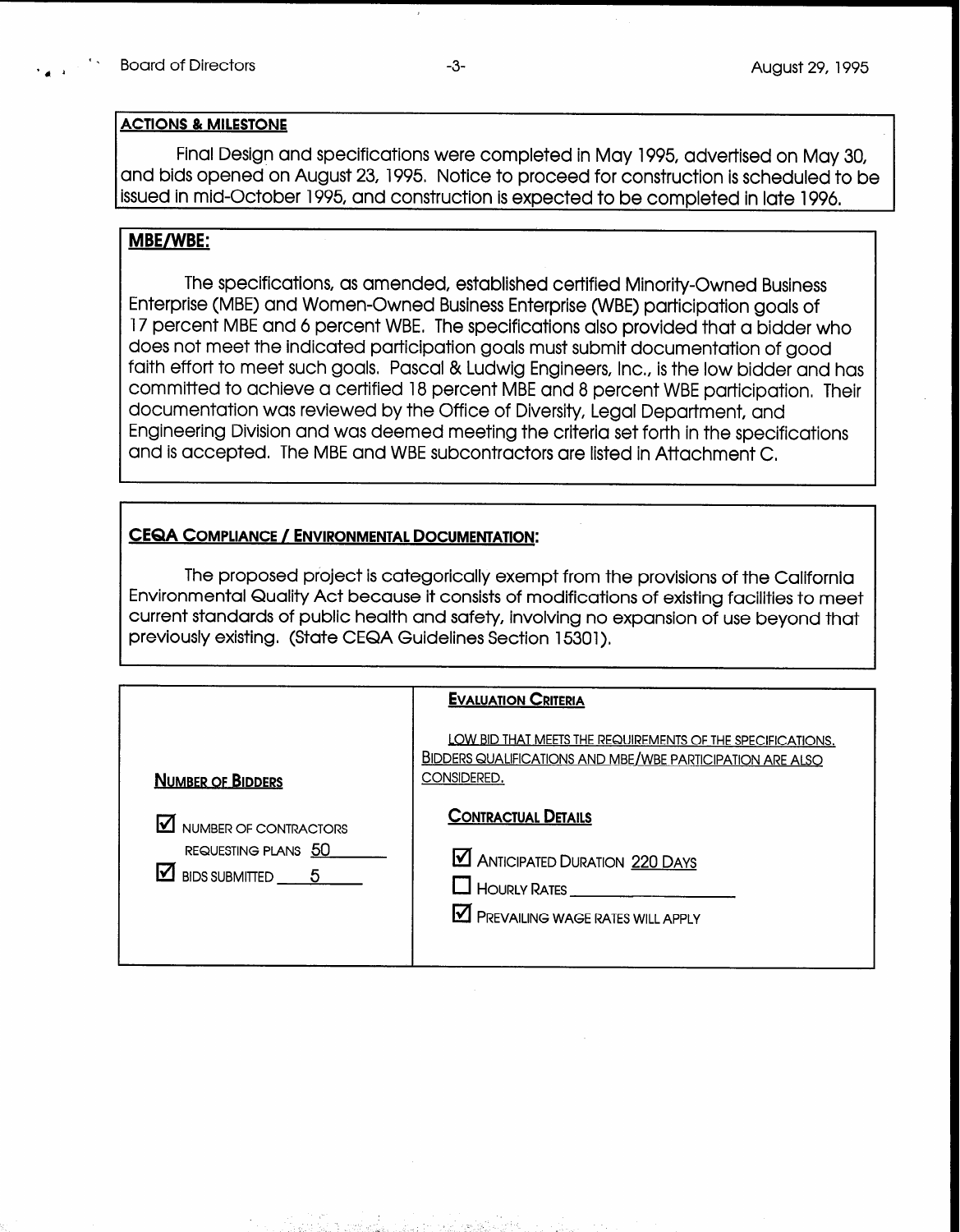#### ACTIONS & MILESTONE

Final Design and specifications were completed in May 1995, advertised on May 30, and bids opened on August 23, 1995, Notice to proceed for construction is scheduled to be issued in mid-October 1995, and construction is expected to be completed in late 1996,

### MBE/WBE:

The specifications, as amended, established certified Minority-Owned Business Enterprise (MBE) and Women-Owned Business Enterprise (WBE) participation goals of 17 percent MBE and 6 percent WBE, The specifications also provided that a bidder who does not meet the indicated participation goals must submit documentation of good faith effort to meet such goals. Pascal & Ludwig Engineers, Inc., is the low bidder and has committed to achieve a certified 18 percent MBE and 8 percent WBE participation, Their documentation was reviewed by the Office of Diversity, Legal Department, and Engineering Division and was deemed meeting the criteria set forth in the specifications and is accepted. The MBE and WBE subcontractors are listed in Attachment C,

#### CEQA COMPLIANCE /ENVIRONMENTAL DOCUMENTATION:

The proposed project is categorically exempt from the provisions of the California Environmental Quality Act because it consists of modifications of existing facilities to meet current standards of public health and safety, involving no expansion of use beyond that previously existing. (State CEQA Guidelines Section 15301).

|                                                                               | <b>EVALUATION CRITERIA</b>                                                                                                                    |
|-------------------------------------------------------------------------------|-----------------------------------------------------------------------------------------------------------------------------------------------|
| <b>NUMBER OF BIDDERS</b>                                                      | LOW BID THAT MEETS THE REQUIREMENTS OF THE SPECIFICATIONS.<br><b>BIDDERS QUALIFICATIONS AND MBE/WBE PARTICIPATION ARE ALSO</b><br>CONSIDERED. |
| NUMBER OF CONTRACTORS<br>REQUESTING PLANS 50<br>$\Delta$ BIDS SUBMITTED $-$ 5 | <b>CONTRACTUAL DETAILS</b><br><b>M ANTICIPATED DURATION 220 DAYS</b><br>HOURLY RATES<br>PREVAILING WAGE RATES WILL APPLY                      |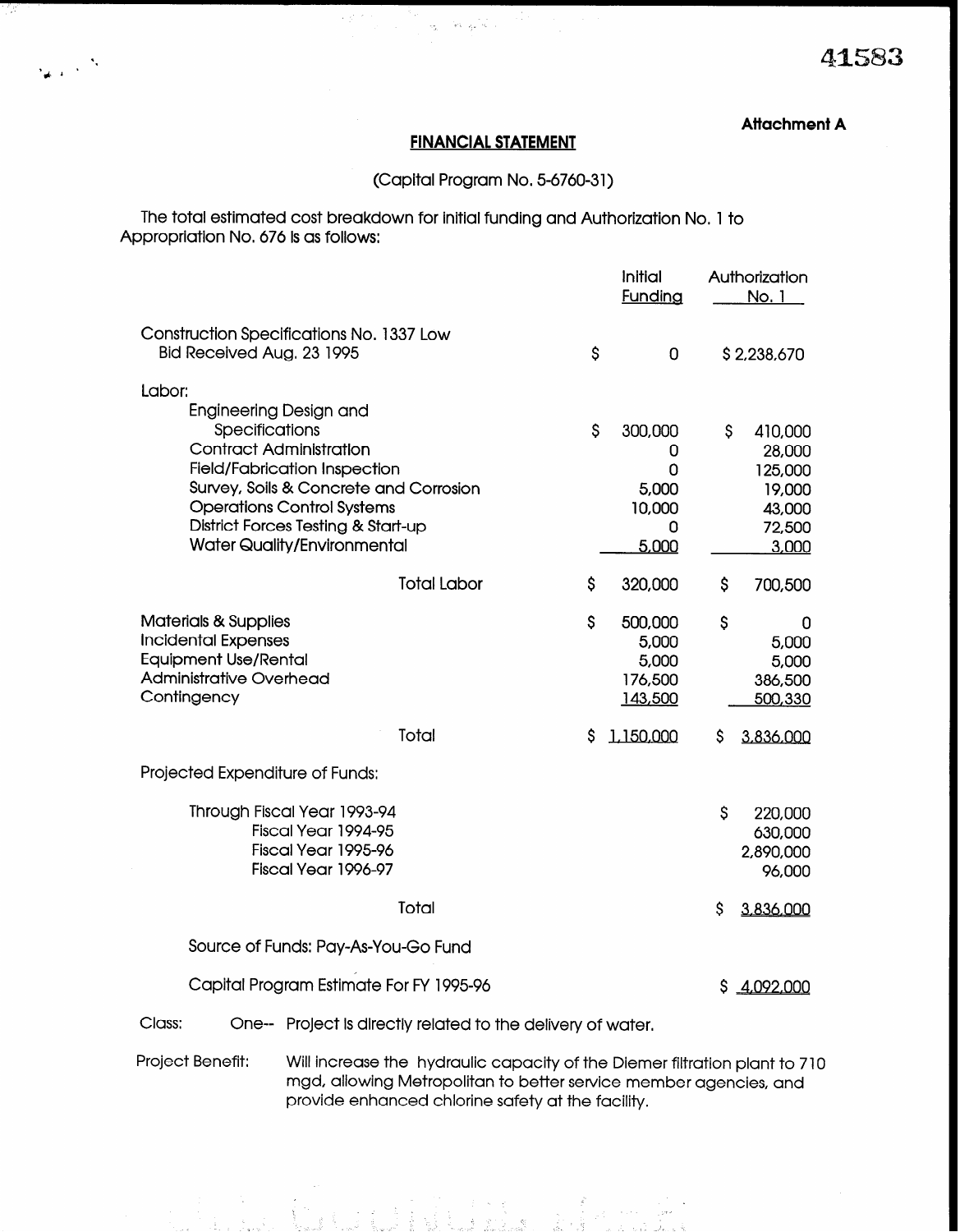## Attachment A

#### FINANCIAL STATEMENT

 $\omega = \sqrt{8} \sqrt{2} \sqrt{8}$ 

 $\sim 10^{-10}$ 

\

3d, \* '

## (Capital Program No, 5-6760-31)

The total estimated cost breakdown for initial funding and Authorization No. 1 to Appropriation No. 676 is as follows:

|                                                                                                                                                                                                                                                           |                    |              | Initial<br><b>Funding</b>                          | Authorization<br>No. 1                                                     |
|-----------------------------------------------------------------------------------------------------------------------------------------------------------------------------------------------------------------------------------------------------------|--------------------|--------------|----------------------------------------------------|----------------------------------------------------------------------------|
| Construction Specifications No. 1337 Low<br>Bid Received Aug. 23 1995                                                                                                                                                                                     |                    | $\mathsf{S}$ | $\overline{0}$                                     | \$2,238,670                                                                |
| Labor:<br>Engineering Design and                                                                                                                                                                                                                          |                    |              |                                                    |                                                                            |
| <b>Specifications</b><br><b>Contract Administration</b><br><b>Field/Fabrication Inspection</b><br>Survey, Soils & Concrete and Corrosion<br><b>Operations Control Systems</b><br>District Forces Testing & Start-up<br><b>Water Quality/Environmental</b> |                    | $\mathsf{S}$ | 300,000<br>0<br>0<br>5,000<br>10,000<br>0<br>5,000 | \$.<br>410,000<br>28,000<br>125,000<br>19,000<br>43,000<br>72,500<br>3,000 |
|                                                                                                                                                                                                                                                           | <b>Total Labor</b> | \$           | 320,000                                            | \$<br>700,500                                                              |
| <b>Materials &amp; Supplies</b><br><b>Incidental Expenses</b><br><b>Equipment Use/Rental</b><br><b>Administrative Overhead</b><br>Contingency                                                                                                             |                    | $\mathsf{S}$ | 500,000<br>5,000<br>5,000<br>176,500<br>143,500    | \$<br>0<br>5,000<br>5,000<br>386,500<br>500,330                            |
|                                                                                                                                                                                                                                                           | Total              | S            | 1.150,000                                          | \$<br>3,836,000                                                            |
| Projected Expenditure of Funds:                                                                                                                                                                                                                           |                    |              |                                                    |                                                                            |
| Through Fiscal Year 1993-94<br>Fiscal Year 1994-95<br>Fiscal Year 1995-96<br>Fiscal Year 1996-97                                                                                                                                                          |                    |              |                                                    | $\mathsf{S}$<br>220,000<br>630,000<br>2,890,000<br>96,000                  |
|                                                                                                                                                                                                                                                           | Total              |              |                                                    | \$<br>3,836,000                                                            |
| Source of Funds: Pay-As-You-Go Fund                                                                                                                                                                                                                       |                    |              |                                                    |                                                                            |
| Capital Program Estimate For FY 1995-96                                                                                                                                                                                                                   |                    |              |                                                    | 4,092,000<br>S.                                                            |
| Class:<br>One-- Project is directly related to the delivery of water.                                                                                                                                                                                     |                    |              |                                                    |                                                                            |

Project Benefit: Will increase the hydraulic capacity of the Diemer filtration plant to 7 10 mgd, allowing Metropolitan to better service member agencies, and provide enhanced chlorine safety at the facility,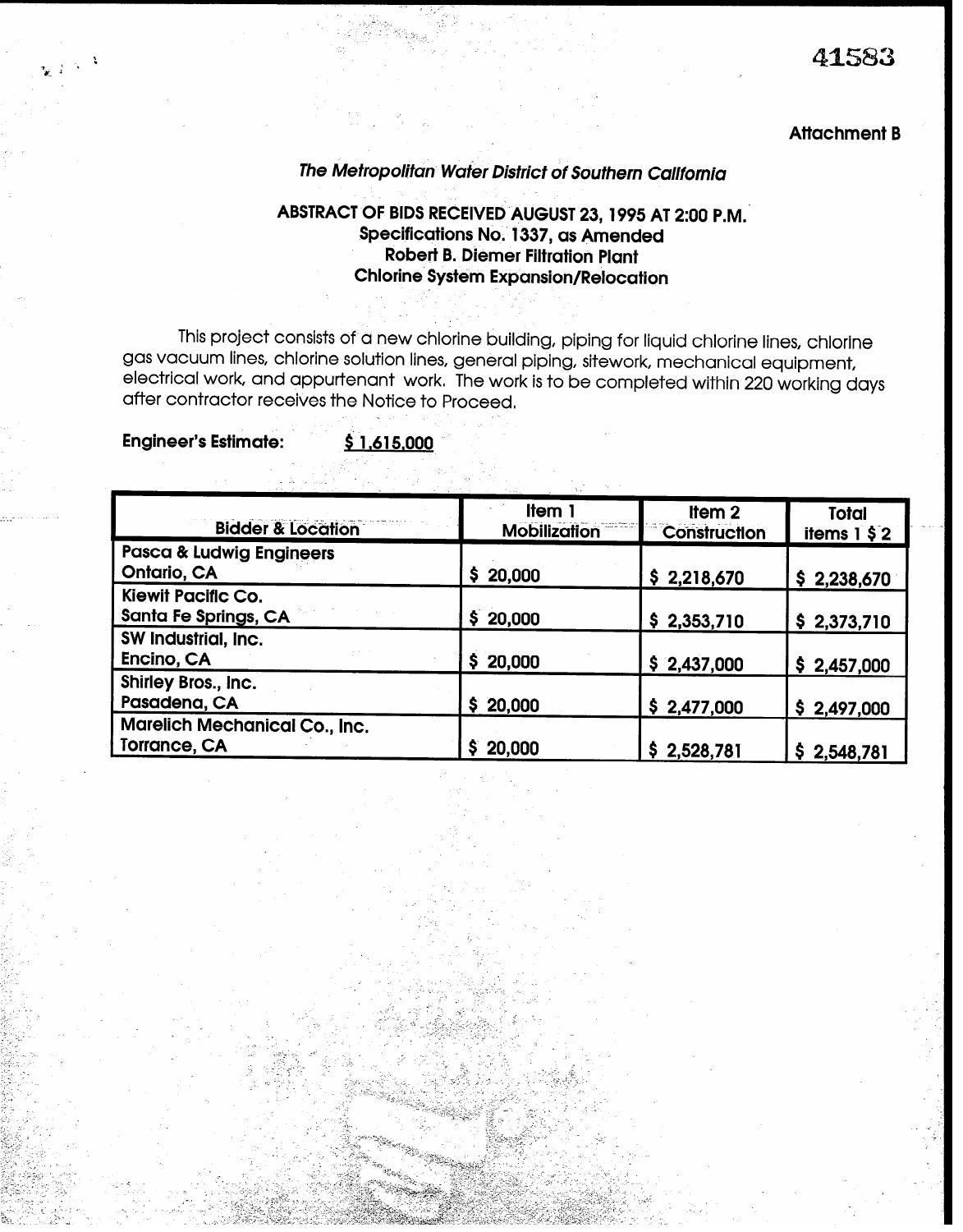#### Attachment B

# The Metropolitan Wafer District of Southern California

# ABSTRACT OF BIDS RECEIVED AUGUST 23,1995 AT 2:00 P.M.' Specifications No. 1337, as Amended Robert B. Diemer Filtration Plant Chlorine System Expansion/Relocation

This project consists of a new chlorine building, piping for liquid chlorine lines, chlorine gas vacuum lines, chlorine solution lines, general piping, sitework, mechanical equipment, electrical work, and appurtenant work, The work is to be completed within 220 working days after contractor receives the Notice to Proceed,

Engineer's Estimate: \$ 1.615.000

| <b>Bidder &amp; Location</b>                         | Item 1<br><b>Mobilization</b> | Item <sub>2</sub><br><b>Construction</b> | <b>Total</b><br>items $1 \,$ \$2 |
|------------------------------------------------------|-------------------------------|------------------------------------------|----------------------------------|
| <b>Pasca &amp; Ludwig Engineers</b><br>Ontario, CA   | \$20,000                      | \$2,218,670                              | \$2,238,670                      |
| <b>Kiewit Pacific Co.</b><br>Santa Fe Springs, CA    | \$20,000                      | \$2,353,710                              | \$2,373,710                      |
| SW Industrial, Inc.<br>Encino, CA                    | \$20,000                      | \$2,437,000                              | \$2,457,000                      |
| Shirley Bros., Inc.<br>Pasadena, CA                  | \$20,000                      | \$2,477,000                              | \$2,497,000                      |
| <b>Marelich Mechanical Co., Inc.</b><br>Torrance, CA | \$20,000                      | \$2,528,781                              | 2,548,781<br>S.                  |